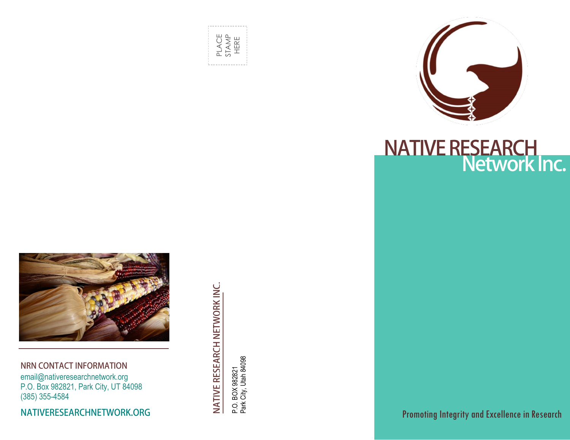



### **NRN CONTACT INFORMATION**

email@nativeresearchnetwork.org P.O. Box 982821, Park City, UT 84098 (385) 355-4584

NATIVERESEARCHNETWORK.ORG

NATIVE RESEARCH NETWORK INC.

P.O. BOX 982821<br>Park City, Utah 84098 Park City, Utah 84098 P.O. BOX 982821



**NATIVE RESEARCH<br>Network Inc.** 

Promoting Integrity and Excellence in Research